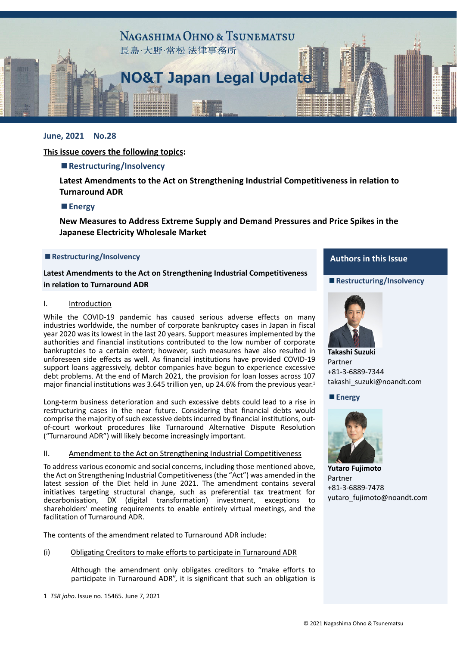

# **June, 2021 No.28**

## **This issue covers the following topics:**

## **■Restructuring/Insolvency**

**Latest Amendments to the Act on Strengthening Industrial Competitiveness in relation to Turnaround ADR**

#### **■Energy**

**New Measures to Address Extreme Supply and Demand Pressures and Price Spikes in the Japanese Electricity Wholesale Market**

#### **■Restructuring/Insolvency**

**Latest Amendments to the Act on Strengthening Industrial Competitiveness in relation to Turnaround ADR**

#### I. Introduction

While the COVID-19 pandemic has caused serious adverse effects on many industries worldwide, the number of corporate bankruptcy cases in Japan in fiscal year 2020 was its lowest in the last 20 years. Support measures implemented by the authorities and financial institutions contributed to the low number of corporate bankruptcies to a certain extent; however, such measures have also resulted in unforeseen side effects as well. As financial institutions have provided COVID‐19 support loans aggressively, debtor companies have begun to experience excessive debt problems. At the end of March 2021, the provision for loan losses across 107 major financial institutions was 3.645 trillion yen, up 24.6% from the previous year.<sup>1</sup>

Long-term business deterioration and such excessive debts could lead to a rise in restructuring cases in the near future. Considering that financial debts would comprise the majority of such excessive debts incurred by financial institutions, out‐ of-court workout procedures like Turnaround Alternative Dispute Resolution ("Turnaround ADR") will likely become increasingly important.

#### II. Amendment to the Act on Strengthening Industrial Competitiveness

To address various economic and social concerns, including those mentioned above, the Act on Strengthening Industrial Competitiveness(the "Act") was amended in the latest session of the Diet held in June 2021. The amendment contains several initiatives targeting structural change, such as preferential tax treatment for decarbonisation, DX (digital transformation) investment, exceptions to shareholders' meeting requirements to enable entirely virtual meetings, and the facilitation of Turnaround ADR.

The contents of the amendment related to Turnaround ADR include:

#### (i) Obligating Creditors to make efforts to participate in Turnaround ADR

Although the amendment only obligates creditors to "make efforts to participate in Turnaround ADR", it is significant that such an obligation is

 $\overline{a}$ 

# **Authors in this Issue**

#### **■Restructuring/Insolvency**



**Takashi Suzuki** Partner +81‐3‐6889‐7344 takashi\_suzuki@noandt.com

**■Energy**



**Yutaro Fujimoto** Partner +81‐3‐6889‐7478 yutaro\_fujimoto@noandt.com

<sup>1</sup> *TSR joho*. Issue no. 15465. June 7, 2021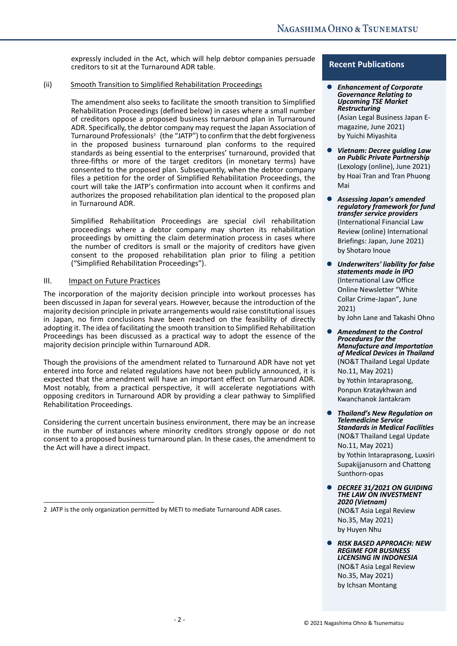expressly included in the Act, which will help debtor companies persuade creditors to sit at the Turnaround ADR table.

### (ii) Smooth Transition to Simplified Rehabilitation Proceedings

The amendment also seeks to facilitate the smooth transition to Simplified Rehabilitation Proceedings (defined below) in cases where a small number of creditors oppose a proposed business turnaround plan in Turnaround ADR. Specifically, the debtor company may request the Japan Association of Turnaround Professionals<sup>2</sup> (the "JATP") to confirm that the debt forgiveness in the proposed business turnaround plan conforms to the required standards as being essential to the enterprises' turnaround, provided that three‐fifths or more of the target creditors (in monetary terms) have consented to the proposed plan. Subsequently, when the debtor company files a petition for the order of Simplified Rehabilitation Proceedings, the court will take the JATP's confirmation into account when it confirms and authorizes the proposed rehabilitation plan identical to the proposed plan in Turnaround ADR.

Simplified Rehabilitation Proceedings are special civil rehabilitation proceedings where a debtor company may shorten its rehabilitation proceedings by omitting the claim determination process in cases where the number of creditors is small or the majority of creditors have given consent to the proposed rehabilitation plan prior to filing a petition ("Simplified Rehabilitation Proceedings").

# III. Impact on Future Practices

 $\overline{a}$ 

The incorporation of the majority decision principle into workout processes has been discussed in Japan for several years. However, because the introduction of the majority decision principle in private arrangements would raise constitutional issues in Japan, no firm conclusions have been reached on the feasibility of directly adopting it. The idea of facilitating the smooth transition to Simplified Rehabilitation Proceedings has been discussed as a practical way to adopt the essence of the majority decision principle within Turnaround ADR.

Though the provisions of the amendment related to Turnaround ADR have not yet entered into force and related regulations have not been publicly announced, it is expected that the amendment will have an important effect on Turnaround ADR. Most notably, from a practical perspective, it will accelerate negotiations with opposing creditors in Turnaround ADR by providing a clear pathway to Simplified Rehabilitation Proceedings.

Considering the current uncertain business environment, there may be an increase in the number of instances where minority creditors strongly oppose or do not consent to a proposed business turnaround plan. In these cases, the amendment to the Act will have a direct impact.

## **Recent Publications**

 *Enhancement of Corporate Governance Relating to Upcoming TSE Market Restructuring* 

(Asian Legal Business Japan E‐ magazine, June 2021) by Yuichi Miyashita

- *Vietnam: Decree guiding Law on Public Private Partnership*  (Lexology (online), June 2021) by Hoai Tran and Tran Phuong Mai
- *Assessing Japan's amended regulatory framework for fund transfer service providers*  (International Financial Law Review (online) International Briefings: Japan, June 2021) by Shotaro Inoue
- *Underwriters' liability for false statements made in IPO*  (International Law Office Online Newsletter "White Collar Crime‐Japan", June 2021) by John Lane and Takashi Ohno
- *Amendment to the Control Procedures for the Manufacture and Importation of Medical Devices in Thailand*  (NO&T Thailand Legal Update No.11, May 2021) by Yothin Intaraprasong, Ponpun Krataykhwan and Kwanchanok Jantakram
- *Thailand's New Regulation on Telemedicine Service Standards in Medical Facilities*  (NO&T Thailand Legal Update No.11, May 2021) by Yothin Intaraprasong, Luxsiri Supakijjanusorn and Chattong Sunthorn‐opas
- *DECREE 31/2021 ON GUIDING THE LAW ON INVESTMENT 2020 (Vietnam)*  (NO&T Asia Legal Review No.35, May 2021) by Huyen Nhu
- *RISK BASED APPROACH: NEW REGIME FOR BUSINESS LICENSING IN INDONESIA* (NO&T Asia Legal Review No.35, May 2021) by Ichsan Montang

<sup>2</sup> JATP is the only organization permitted by METI to mediate Turnaround ADR cases.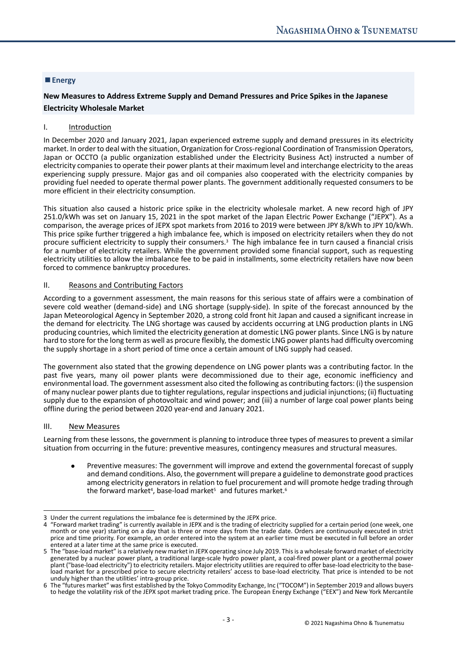## **■Energy**

# **New Measures to Address Extreme Supply and Demand Pressures and Price Spikes in the Japanese Electricity Wholesale Market**

#### I. Introduction

In December 2020 and January 2021, Japan experienced extreme supply and demand pressures in its electricity market. In order to deal with the situation, Organization for Cross-regional Coordination of Transmission Operators, Japan or OCCTO (a public organization established under the Electricity Business Act) instructed a number of electricity companiesto operate their power plants at their maximum level and interchange electricity to the areas experiencing supply pressure. Major gas and oil companies also cooperated with the electricity companies by providing fuel needed to operate thermal power plants. The government additionally requested consumers to be more efficient in their electricity consumption.

This situation also caused a historic price spike in the electricity wholesale market. A new record high of JPY 251.0/kWh was set on January 15, 2021 in the spot market of the Japan Electric Power Exchange ("JEPX"). As a comparison, the average prices of JEPX spot markets from 2016 to 2019 were between JPY 8/kWh to JPY 10/kWh. This price spike further triggered a high imbalance fee, which is imposed on electricity retailers when they do not procure sufficient electricity to supply their consumers.3 The high imbalance fee in turn caused a financial crisis for a number of electricity retailers. While the government provided some financial support, such as requesting electricity utilities to allow the imbalance fee to be paid in installments, some electricity retailers have now been forced to commence bankruptcy procedures.

#### II. Reasons and Contributing Factors

According to a government assessment, the main reasons for this serious state of affairs were a combination of severe cold weather (demand-side) and LNG shortage (supply-side). In spite of the forecast announced by the Japan Meteorological Agency in September 2020, a strong cold front hit Japan and caused a significant increase in the demand for electricity. The LNG shortage was caused by accidents occurring at LNG production plants in LNG producing countries, which limited the electricity generation at domestic LNG power plants. Since LNG is by nature hard to store for the long term as well as procure flexibly, the domestic LNG power plants had difficulty overcoming the supply shortage in a short period of time once a certain amount of LNG supply had ceased.

The government also stated that the growing dependence on LNG power plants was a contributing factor. In the past five years, many oil power plants were decommissioned due to their age, economic inefficiency and environmental load. The government assessment also cited the following as contributing factors: (i) the suspension of many nuclear power plants due to tighter regulations, regular inspections and judicial injunctions; (ii) fluctuating supply due to the expansion of photovoltaic and wind power; and (iii) a number of large coal power plants being offline during the period between 2020 year‐end and January 2021.

#### III. New Measures

 $\overline{a}$ 

Learning from these lessons, the government is planning to introduce three types of measures to prevent a similar situation from occurring in the future: preventive measures, contingency measures and structural measures.

 Preventive measures: The government will improve and extend the governmental forecast of supply and demand conditions. Also, the government will prepare a guideline to demonstrate good practices among electricity generators in relation to fuel procurement and will promote hedge trading through the forward market<sup>4</sup>, base-load market<sup>5</sup> and futures market.<sup>6</sup>

<sup>3</sup> Under the current regulations the imbalance fee is determined by the JEPX price.<br>4 "Forward market trading" is currently available in JEPX and is the trading of electricity supplied for a certain period (one week, one month or one year) starting on a day that is three or more days from the trade date. Orders are continuously executed in strict price and time priority. For example, an order entered into the system at an earlier time must be executed in full before an order entered at a later time at the same price is executed.

<sup>5</sup> The "base-load market" is a relatively new market in JEPX operating since July 2019. This is a wholesale forward market of electricity exact by a nuclear power plant, a traditional large-scale hydro power plant, a coal-fired power plant or a geothermal power<br>plant ("base-load electricity") to electricity retailers. Major electricity utilities are required load market for a prescribed price to secure electricity retailers' access to base-load electricity. That price is intended to be not unduly higher than the utilities' intra‐group price.

<sup>6</sup> The "futures market" wasfirst established by the Tokyo Commodity Exchange, Inc ("TOCOM") in September 2019 and allows buyers to hedge the volatility risk of the JEPX spot market trading price. The European Energy Exchange ("EEX") and New York Mercantile